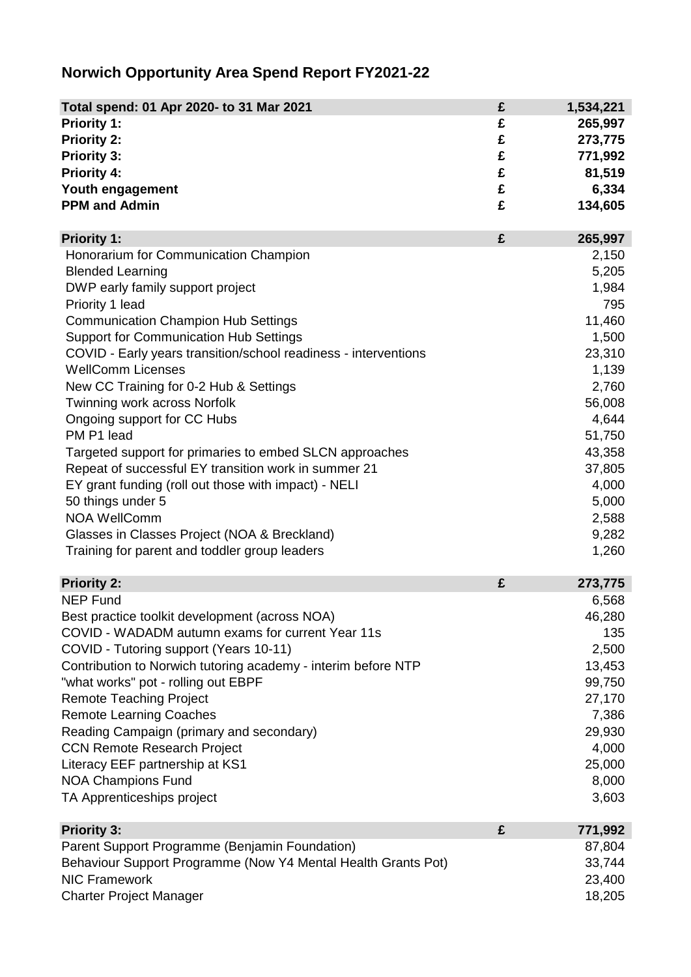## **Norwich Opportunity Area Spend Report FY2021-22**

| Total spend: 01 Apr 2020- to 31 Mar 2021                        | £ | 1,534,221      |
|-----------------------------------------------------------------|---|----------------|
| Priority 1:                                                     | £ | 265,997        |
| <b>Priority 2:</b>                                              | £ | 273,775        |
| <b>Priority 3:</b>                                              | £ | 771,992        |
| <b>Priority 4:</b>                                              | £ | 81,519         |
| Youth engagement                                                | £ | 6,334          |
| <b>PPM and Admin</b>                                            | £ | 134,605        |
| <b>Priority 1:</b>                                              | £ | 265,997        |
| Honorarium for Communication Champion                           |   | 2,150          |
| <b>Blended Learning</b>                                         |   | 5,205          |
| DWP early family support project                                |   | 1,984          |
| Priority 1 lead                                                 |   | 795            |
| <b>Communication Champion Hub Settings</b>                      |   | 11,460         |
| <b>Support for Communication Hub Settings</b>                   |   | 1,500          |
| COVID - Early years transition/school readiness - interventions |   | 23,310         |
| <b>WellComm Licenses</b>                                        |   | 1,139          |
| New CC Training for 0-2 Hub & Settings                          |   | 2,760          |
| Twinning work across Norfolk                                    |   | 56,008         |
| Ongoing support for CC Hubs                                     |   | 4,644          |
| PM P1 lead                                                      |   | 51,750         |
| Targeted support for primaries to embed SLCN approaches         |   | 43,358         |
| Repeat of successful EY transition work in summer 21            |   | 37,805         |
| EY grant funding (roll out those with impact) - NELI            |   | 4,000          |
| 50 things under 5<br><b>NOA WellComm</b>                        |   | 5,000          |
|                                                                 |   | 2,588<br>9,282 |
| Glasses in Classes Project (NOA & Breckland)                    |   | 1,260          |
| Training for parent and toddler group leaders                   |   |                |
| <b>Priority 2:</b>                                              | £ | 273,775        |
| <b>NEP Fund</b>                                                 |   | 6,568          |
| Best practice toolkit development (across NOA)                  |   | 46,280         |
| COVID - WADADM autumn exams for current Year 11s                |   | 135            |
| COVID - Tutoring support (Years 10-11)                          |   | 2,500          |
| Contribution to Norwich tutoring academy - interim before NTP   |   | 13,453         |
| "what works" pot - rolling out EBPF                             |   | 99,750         |
| <b>Remote Teaching Project</b>                                  |   | 27,170         |
| <b>Remote Learning Coaches</b>                                  |   | 7,386          |
| Reading Campaign (primary and secondary)                        |   | 29,930         |
| <b>CCN Remote Research Project</b>                              |   | 4,000          |
| Literacy EEF partnership at KS1                                 |   | 25,000         |
| <b>NOA Champions Fund</b>                                       |   | 8,000          |
| TA Apprenticeships project                                      |   | 3,603          |
| <b>Priority 3:</b>                                              | £ | 771,992        |
| Parent Support Programme (Benjamin Foundation)                  |   | 87,804         |
| Behaviour Support Programme (Now Y4 Mental Health Grants Pot)   |   | 33,744         |
| <b>NIC Framework</b>                                            |   | 23,400         |
| <b>Charter Project Manager</b>                                  |   | 18,205         |